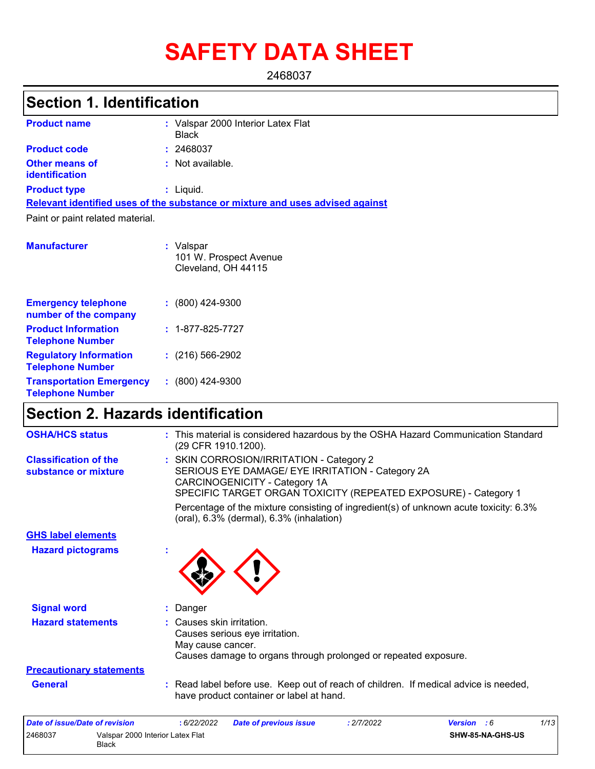# **SAFETY DATA SHEET**

2468037

### **Section 1. Identification**

| <b>Product name</b>                            | : Valspar 2000 Interior Latex Flat<br><b>Black</b>                            |
|------------------------------------------------|-------------------------------------------------------------------------------|
| <b>Product code</b>                            | : 2468037                                                                     |
| <b>Other means of</b><br><b>identification</b> | : Not available.                                                              |
| <b>Product type</b>                            | $:$ Liquid.                                                                   |
|                                                | Relevant identified uses of the substance or mixture and uses advised against |
| Paint or paint related material.               |                                                                               |

| <b>Manufacturer</b>                                        | : Valspar<br>101 W. Prospect Avenue<br>Cleveland, OH 44115 |
|------------------------------------------------------------|------------------------------------------------------------|
| <b>Emergency telephone</b><br>number of the company        | $: (800)$ 424-9300                                         |
| <b>Product Information</b><br><b>Telephone Number</b>      | $: 1 - 877 - 825 - 7727$                                   |
| <b>Regulatory Information</b><br><b>Telephone Number</b>   | $: (216) 566 - 2902$                                       |
| <b>Transportation Emergency</b><br><b>Telephone Number</b> | $\colon$ (800) 424-9300                                    |

### **Section 2. Hazards identification**

2468037 Valspar 2000 Interior Latex Flat **Black** 

| <b>OSHA/HCS status</b>                               | : This material is considered hazardous by the OSHA Hazard Communication Standard<br>(29 CFR 1910.1200).                                                                                                                                                                                                                              |  |  |  |  |  |
|------------------------------------------------------|---------------------------------------------------------------------------------------------------------------------------------------------------------------------------------------------------------------------------------------------------------------------------------------------------------------------------------------|--|--|--|--|--|
| <b>Classification of the</b><br>substance or mixture | : SKIN CORROSION/IRRITATION - Category 2<br>SERIOUS EYE DAMAGE/ EYE IRRITATION - Category 2A<br>CARCINOGENICITY - Category 1A<br>SPECIFIC TARGET ORGAN TOXICITY (REPEATED EXPOSURE) - Category 1<br>Percentage of the mixture consisting of ingredient(s) of unknown acute toxicity: 6.3%<br>(oral), 6.3% (dermal), 6.3% (inhalation) |  |  |  |  |  |
| <b>GHS label elements</b>                            |                                                                                                                                                                                                                                                                                                                                       |  |  |  |  |  |
| <b>Hazard pictograms</b>                             |                                                                                                                                                                                                                                                                                                                                       |  |  |  |  |  |
| <b>Signal word</b>                                   | : Danger                                                                                                                                                                                                                                                                                                                              |  |  |  |  |  |
| <b>Hazard statements</b>                             | $:$ Causes skin irritation.<br>Causes serious eye irritation.<br>May cause cancer.<br>Causes damage to organs through prolonged or repeated exposure.                                                                                                                                                                                 |  |  |  |  |  |
| <b>Precautionary statements</b>                      |                                                                                                                                                                                                                                                                                                                                       |  |  |  |  |  |
| <b>General</b>                                       | : Read label before use. Keep out of reach of children. If medical advice is needed,<br>have product container or label at hand.                                                                                                                                                                                                      |  |  |  |  |  |
| <b>Date of issue/Date of revision</b>                | 1/13<br>:6/22/2022<br><b>Date of previous issue</b><br>: 2/7/2022<br>Version : 6                                                                                                                                                                                                                                                      |  |  |  |  |  |

**SHW-85-NA-GHS-US**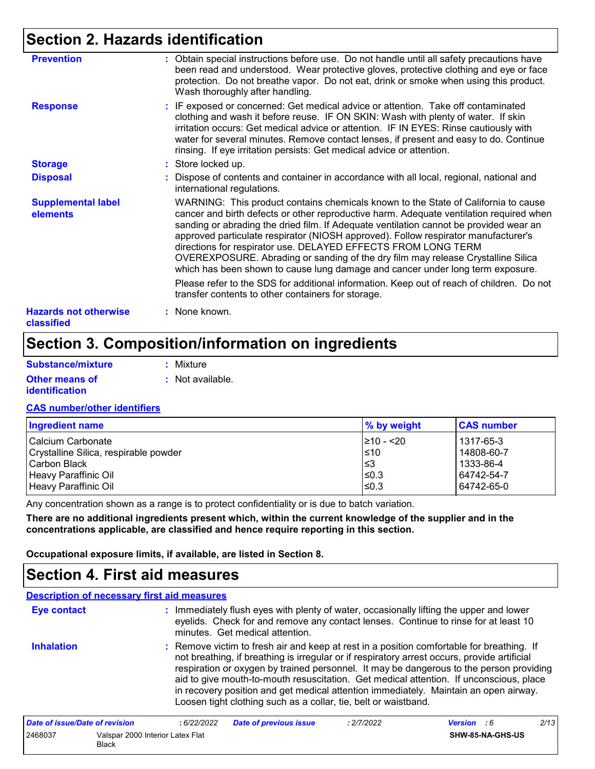### **Section 2. Hazards identification**

| <b>Prevention</b>                                 | : Obtain special instructions before use. Do not handle until all safety precautions have<br>been read and understood. Wear protective gloves, protective clothing and eye or face<br>protection. Do not breathe vapor. Do not eat, drink or smoke when using this product.<br>Wash thoroughly after handling.                                                                                                                                                                                                                                                                                       |
|---------------------------------------------------|------------------------------------------------------------------------------------------------------------------------------------------------------------------------------------------------------------------------------------------------------------------------------------------------------------------------------------------------------------------------------------------------------------------------------------------------------------------------------------------------------------------------------------------------------------------------------------------------------|
| <b>Response</b>                                   | : IF exposed or concerned: Get medical advice or attention. Take off contaminated<br>clothing and wash it before reuse. IF ON SKIN: Wash with plenty of water. If skin<br>irritation occurs: Get medical advice or attention. IF IN EYES: Rinse cautiously with<br>water for several minutes. Remove contact lenses, if present and easy to do. Continue<br>rinsing. If eye irritation persists: Get medical advice or attention.                                                                                                                                                                    |
| <b>Storage</b>                                    | : Store locked up.                                                                                                                                                                                                                                                                                                                                                                                                                                                                                                                                                                                   |
| <b>Disposal</b>                                   | : Dispose of contents and container in accordance with all local, regional, national and<br>international regulations.                                                                                                                                                                                                                                                                                                                                                                                                                                                                               |
| <b>Supplemental label</b><br>elements             | WARNING: This product contains chemicals known to the State of California to cause<br>cancer and birth defects or other reproductive harm. Adequate ventilation required when<br>sanding or abrading the dried film. If Adequate ventilation cannot be provided wear an<br>approved particulate respirator (NIOSH approved). Follow respirator manufacturer's<br>directions for respirator use. DELAYED EFFECTS FROM LONG TERM<br>OVEREXPOSURE. Abrading or sanding of the dry film may release Crystalline Silica<br>which has been shown to cause lung damage and cancer under long term exposure. |
|                                                   | Please refer to the SDS for additional information. Keep out of reach of children. Do not<br>transfer contents to other containers for storage.                                                                                                                                                                                                                                                                                                                                                                                                                                                      |
| <b>Hazards not otherwise</b><br><b>classified</b> | : None known.                                                                                                                                                                                                                                                                                                                                                                                                                                                                                                                                                                                        |

### **Section 3. Composition/information on ingredients**

| Substance/mixture     | : Mixture        |
|-----------------------|------------------|
| <b>Other means of</b> | : Not available. |
| <i>identification</i> |                  |

#### **CAS number/other identifiers**

| <b>Ingredient name</b>                | $\%$ by weight | <b>CAS number</b> |
|---------------------------------------|----------------|-------------------|
| l Calcium Carbonate                   | 1≥10 - <20     | 1317-65-3         |
| Crystalline Silica, respirable powder | ≤10            | 14808-60-7        |
| l Carbon Black                        | ≤3             | 1333-86-4         |
| Heavy Paraffinic Oil                  | $\leq$ 0.3     | 64742-54-7        |
| <b>Heavy Paraffinic Oil</b>           | $\leq 0.3$     | 64742-65-0        |

Any concentration shown as a range is to protect confidentiality or is due to batch variation.

**There are no additional ingredients present which, within the current knowledge of the supplier and in the concentrations applicable, are classified and hence require reporting in this section.**

**Occupational exposure limits, if available, are listed in Section 8.**

### **Section 4. First aid measures**

#### **Description of necessary first aid measures**

| <b>Eye contact</b>             | : Immediately flush eyes with plenty of water, occasionally lifting the upper and lower<br>eyelids. Check for and remove any contact lenses. Continue to rinse for at least 10<br>minutes. Get medical attention.                                                                                                                                                                                                                                                                                                                         |
|--------------------------------|-------------------------------------------------------------------------------------------------------------------------------------------------------------------------------------------------------------------------------------------------------------------------------------------------------------------------------------------------------------------------------------------------------------------------------------------------------------------------------------------------------------------------------------------|
| <b>Inhalation</b>              | : Remove victim to fresh air and keep at rest in a position comfortable for breathing. If<br>not breathing, if breathing is irregular or if respiratory arrest occurs, provide artificial<br>respiration or oxygen by trained personnel. It may be dangerous to the person providing<br>aid to give mouth-to-mouth resuscitation. Get medical attention. If unconscious, place<br>in recovery position and get medical attention immediately. Maintain an open airway.<br>Loosen tight clothing such as a collar, tie, belt or waistband. |
| Date of issue/Date of revision | 2/13<br><b>Date of previous issue</b><br>:6/22/2022<br>: 2/7/2022<br><b>Version</b> : 6                                                                                                                                                                                                                                                                                                                                                                                                                                                   |

| <b>Pate of Issue/Date of Tevision</b> |                                           | . <i>W L LI L</i> U L L | <u>Dale of previous issue</u> | . <i>LIII</i> LULL | <b>VEISIUII JU</b> |                  |  |
|---------------------------------------|-------------------------------------------|-------------------------|-------------------------------|--------------------|--------------------|------------------|--|
| 2468037                               | Valspar 2000 Interior Latex Flat<br>Black |                         |                               |                    |                    | SHW-85-NA-GHS-US |  |
|                                       |                                           |                         |                               |                    |                    |                  |  |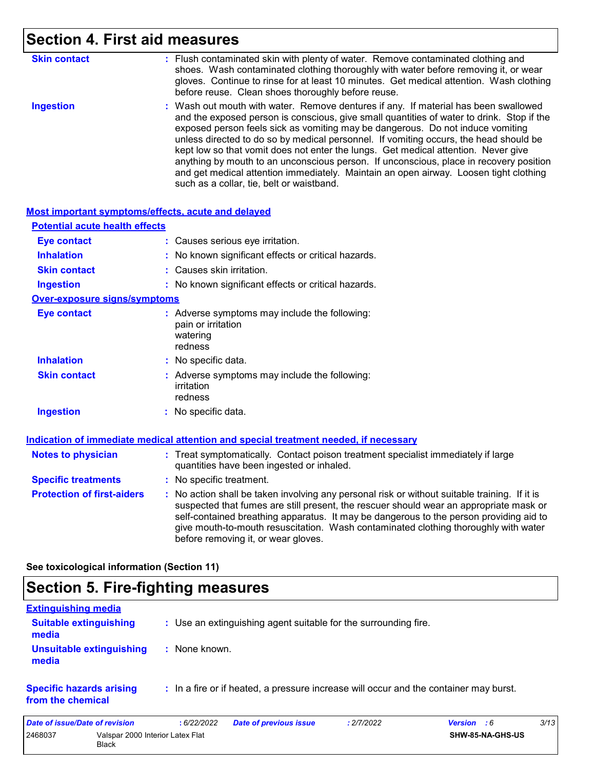## **Section 4. First aid measures**

| <b>Skin contact</b> | : Flush contaminated skin with plenty of water. Remove contaminated clothing and<br>shoes. Wash contaminated clothing thoroughly with water before removing it, or wear<br>gloves. Continue to rinse for at least 10 minutes. Get medical attention. Wash clothing<br>before reuse. Clean shoes thoroughly before reuse.                                                                                                                                                                                                                                                                                                                                                          |
|---------------------|-----------------------------------------------------------------------------------------------------------------------------------------------------------------------------------------------------------------------------------------------------------------------------------------------------------------------------------------------------------------------------------------------------------------------------------------------------------------------------------------------------------------------------------------------------------------------------------------------------------------------------------------------------------------------------------|
| <b>Ingestion</b>    | : Wash out mouth with water. Remove dentures if any. If material has been swallowed<br>and the exposed person is conscious, give small quantities of water to drink. Stop if the<br>exposed person feels sick as vomiting may be dangerous. Do not induce vomiting<br>unless directed to do so by medical personnel. If vomiting occurs, the head should be<br>kept low so that vomit does not enter the lungs. Get medical attention. Never give<br>anything by mouth to an unconscious person. If unconscious, place in recovery position<br>and get medical attention immediately. Maintain an open airway. Loosen tight clothing<br>such as a collar, tie, belt or waistband. |

| Most important symptoms/effects, acute and delayed |                                                                                                                                                                                                                                                                                                                                                                                                                 |
|----------------------------------------------------|-----------------------------------------------------------------------------------------------------------------------------------------------------------------------------------------------------------------------------------------------------------------------------------------------------------------------------------------------------------------------------------------------------------------|
| <b>Potential acute health effects</b>              |                                                                                                                                                                                                                                                                                                                                                                                                                 |
| <b>Eye contact</b>                                 | : Causes serious eye irritation.                                                                                                                                                                                                                                                                                                                                                                                |
| <b>Inhalation</b>                                  | : No known significant effects or critical hazards.                                                                                                                                                                                                                                                                                                                                                             |
| <b>Skin contact</b>                                | : Causes skin irritation.                                                                                                                                                                                                                                                                                                                                                                                       |
| <b>Ingestion</b>                                   | : No known significant effects or critical hazards.                                                                                                                                                                                                                                                                                                                                                             |
| <b>Over-exposure signs/symptoms</b>                |                                                                                                                                                                                                                                                                                                                                                                                                                 |
| <b>Eye contact</b>                                 | : Adverse symptoms may include the following:<br>pain or irritation<br>watering<br>redness                                                                                                                                                                                                                                                                                                                      |
| <b>Inhalation</b>                                  | : No specific data.                                                                                                                                                                                                                                                                                                                                                                                             |
| <b>Skin contact</b>                                | : Adverse symptoms may include the following:<br>irritation<br>redness                                                                                                                                                                                                                                                                                                                                          |
| <b>Ingestion</b>                                   | : No specific data.                                                                                                                                                                                                                                                                                                                                                                                             |
|                                                    | Indication of immediate medical attention and special treatment needed, if necessary                                                                                                                                                                                                                                                                                                                            |
| <b>Notes to physician</b>                          | : Treat symptomatically. Contact poison treatment specialist immediately if large<br>quantities have been ingested or inhaled.                                                                                                                                                                                                                                                                                  |
| <b>Specific treatments</b>                         | : No specific treatment.                                                                                                                                                                                                                                                                                                                                                                                        |
| <b>Protection of first-aiders</b>                  | : No action shall be taken involving any personal risk or without suitable training. If it is<br>suspected that fumes are still present, the rescuer should wear an appropriate mask or<br>self-contained breathing apparatus. It may be dangerous to the person providing aid to<br>give mouth-to-mouth resuscitation. Wash contaminated clothing thoroughly with water<br>before removing it, or wear gloves. |

**See toxicological information (Section 11)**

### **Section 5. Fire-fighting measures**

| <b>Extinguishing media</b>                           |                 |                                                                                       |            |                    |      |
|------------------------------------------------------|-----------------|---------------------------------------------------------------------------------------|------------|--------------------|------|
| <b>Suitable extinguishing</b><br>media               |                 | : Use an extinguishing agent suitable for the surrounding fire.                       |            |                    |      |
| <b>Unsuitable extinguishing</b><br>media             | $:$ None known. |                                                                                       |            |                    |      |
| <b>Specific hazards arising</b><br>from the chemical |                 | : In a fire or if heated, a pressure increase will occur and the container may burst. |            |                    |      |
| Date of issue/Date of revision                       | :6/22/2022      | <b>Date of previous issue</b>                                                         | : 2/7/2022 | <b>Version</b> : 6 | 3/13 |

| Date of issue/Date of revision_ |                                                  | 6/22/2022 | <b>Date of previous issue</b> | : 2/7/2022 | <b>Version</b> : 6      | 3/13 |
|---------------------------------|--------------------------------------------------|-----------|-------------------------------|------------|-------------------------|------|
| 2468037                         | Valspar 2000 Interior Latex Flat<br><b>Black</b> |           |                               |            | <b>SHW-85-NA-GHS-US</b> |      |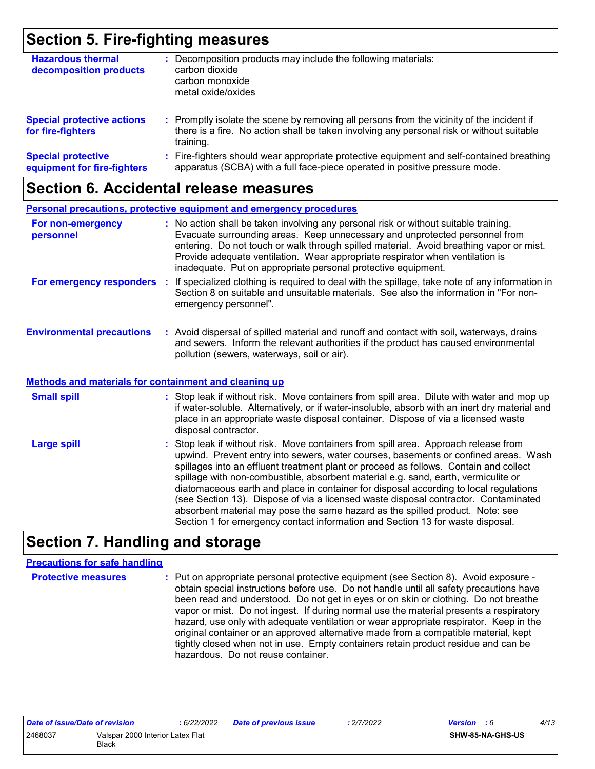### **Section 5. Fire-fighting measures**

| <b>Hazardous thermal</b><br>decomposition products       | Decomposition products may include the following materials:<br>carbon dioxide<br>carbon monoxide<br>metal oxide/oxides                                                                              |
|----------------------------------------------------------|-----------------------------------------------------------------------------------------------------------------------------------------------------------------------------------------------------|
| <b>Special protective actions</b><br>for fire-fighters   | : Promptly isolate the scene by removing all persons from the vicinity of the incident if<br>there is a fire. No action shall be taken involving any personal risk or without suitable<br>training. |
| <b>Special protective</b><br>equipment for fire-fighters | Fire-fighters should wear appropriate protective equipment and self-contained breathing<br>apparatus (SCBA) with a full face-piece operated in positive pressure mode.                              |

### **Section 6. Accidental release measures**

|                                                       | <b>Personal precautions, protective equipment and emergency procedures</b>                                                                                                                                                                                                                                                                                                                                       |
|-------------------------------------------------------|------------------------------------------------------------------------------------------------------------------------------------------------------------------------------------------------------------------------------------------------------------------------------------------------------------------------------------------------------------------------------------------------------------------|
| For non-emergency<br>personnel                        | : No action shall be taken involving any personal risk or without suitable training.<br>Evacuate surrounding areas. Keep unnecessary and unprotected personnel from<br>entering. Do not touch or walk through spilled material. Avoid breathing vapor or mist.<br>Provide adequate ventilation. Wear appropriate respirator when ventilation is<br>inadequate. Put on appropriate personal protective equipment. |
| For emergency responders                              | : If specialized clothing is required to deal with the spillage, take note of any information in<br>Section 8 on suitable and unsuitable materials. See also the information in "For non-<br>emergency personnel".                                                                                                                                                                                               |
| <b>Environmental precautions</b>                      | : Avoid dispersal of spilled material and runoff and contact with soil, waterways, drains<br>and sewers. Inform the relevant authorities if the product has caused environmental<br>pollution (sewers, waterways, soil or air).                                                                                                                                                                                  |
| Methods and materials for containment and cleaning up |                                                                                                                                                                                                                                                                                                                                                                                                                  |
| <b>Small spill</b>                                    | : Stop leak if without risk. Move containers from spill area. Dilute with water and mop up<br>if water-soluble. Alternatively, or if water-insoluble, absorb with an inert dry material and<br>place in an appropriate waste disposal container. Dispose of via a licensed waste<br>disposal contractor.                                                                                                         |
| <b>Large spill</b>                                    | : Stop leak if without risk. Move containers from spill area. Approach release from<br>upwind. Prevent entry into sewers, water courses, basements or confined areas. Wash<br>spillages into an effluent treatment plant or proceed as follows. Contain and collect<br>spillage with non-combustible, absorbent material e.g. sand, earth, vermiculite or                                                        |

diatomaceous earth and place in container for disposal according to local regulations (see Section 13). Dispose of via a licensed waste disposal contractor. Contaminated absorbent material may pose the same hazard as the spilled product. Note: see Section 1 for emergency contact information and Section 13 for waste disposal.

### **Section 7. Handling and storage**

### **Precautions for safe handling**

**Protective measures Theory of the exponential exponent (see Section 8).** Avoid exposure obtain special instructions before use. Do not handle until all safety precautions have been read and understood. Do not get in eyes or on skin or clothing. Do not breathe vapor or mist. Do not ingest. If during normal use the material presents a respiratory hazard, use only with adequate ventilation or wear appropriate respirator. Keep in the original container or an approved alternative made from a compatible material, kept tightly closed when not in use. Empty containers retain product residue and can be hazardous. Do not reuse container.

| Date of issue/Date of revision |                                  | 6/22/2022 | <b>Date of previous issue</b> | 2/7/2022 | <b>Version</b> : 6 | 4/13 |
|--------------------------------|----------------------------------|-----------|-------------------------------|----------|--------------------|------|
| 2468037                        | Valspar 2000 Interior Latex Flat |           |                               |          | SHW-85-NA-GHS-US   |      |
|                                | Black                            |           |                               |          |                    |      |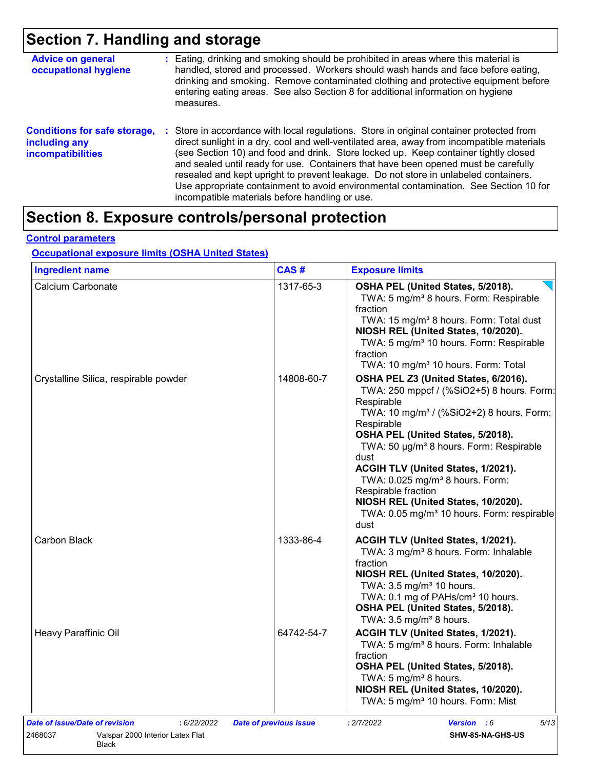### **Section 7. Handling and storage**

| <b>Advice on general</b><br>occupational hygiene                                 | : Eating, drinking and smoking should be prohibited in areas where this material is<br>handled, stored and processed. Workers should wash hands and face before eating,<br>drinking and smoking. Remove contaminated clothing and protective equipment before<br>entering eating areas. See also Section 8 for additional information on hygiene<br>measures.                                                                                                                                                                                                                                       |
|----------------------------------------------------------------------------------|-----------------------------------------------------------------------------------------------------------------------------------------------------------------------------------------------------------------------------------------------------------------------------------------------------------------------------------------------------------------------------------------------------------------------------------------------------------------------------------------------------------------------------------------------------------------------------------------------------|
| <b>Conditions for safe storage,</b><br>including any<br><b>incompatibilities</b> | : Store in accordance with local regulations. Store in original container protected from<br>direct sunlight in a dry, cool and well-ventilated area, away from incompatible materials<br>(see Section 10) and food and drink. Store locked up. Keep container tightly closed<br>and sealed until ready for use. Containers that have been opened must be carefully<br>resealed and kept upright to prevent leakage. Do not store in unlabeled containers.<br>Use appropriate containment to avoid environmental contamination. See Section 10 for<br>incompatible materials before handling or use. |

### **Section 8. Exposure controls/personal protection**

#### **Control parameters**

#### **Occupational exposure limits (OSHA United States)**

| <b>Ingredient name</b>                | CAS#       | <b>Exposure limits</b>                                                                                                                                                                                                                                                                                                                                                                                                                                                                         |
|---------------------------------------|------------|------------------------------------------------------------------------------------------------------------------------------------------------------------------------------------------------------------------------------------------------------------------------------------------------------------------------------------------------------------------------------------------------------------------------------------------------------------------------------------------------|
| Calcium Carbonate                     | 1317-65-3  | OSHA PEL (United States, 5/2018).<br>TWA: 5 mg/m <sup>3</sup> 8 hours. Form: Respirable<br>fraction<br>TWA: 15 mg/m <sup>3</sup> 8 hours. Form: Total dust<br>NIOSH REL (United States, 10/2020).<br>TWA: 5 mg/m <sup>3</sup> 10 hours. Form: Respirable<br>fraction<br>TWA: 10 mg/m <sup>3</sup> 10 hours. Form: Total                                                                                                                                                                        |
| Crystalline Silica, respirable powder | 14808-60-7 | OSHA PEL Z3 (United States, 6/2016).<br>TWA: 250 mppcf / (%SiO2+5) 8 hours. Form:<br>Respirable<br>TWA: 10 mg/m <sup>3</sup> / (%SiO2+2) 8 hours. Form:<br>Respirable<br>OSHA PEL (United States, 5/2018).<br>TWA: 50 µg/m <sup>3</sup> 8 hours. Form: Respirable<br>dust<br>ACGIH TLV (United States, 1/2021).<br>TWA: 0.025 mg/m <sup>3</sup> 8 hours. Form:<br>Respirable fraction<br>NIOSH REL (United States, 10/2020).<br>TWA: 0.05 mg/m <sup>3</sup> 10 hours. Form: respirable<br>dust |
| <b>Carbon Black</b>                   | 1333-86-4  | ACGIH TLV (United States, 1/2021).<br>TWA: 3 mg/m <sup>3</sup> 8 hours. Form: Inhalable<br>fraction<br>NIOSH REL (United States, 10/2020).<br>TWA: 3.5 mg/m <sup>3</sup> 10 hours.<br>TWA: 0.1 mg of PAHs/cm <sup>3</sup> 10 hours.<br>OSHA PEL (United States, 5/2018).<br>TWA: $3.5 \text{ mg/m}^3$ 8 hours.                                                                                                                                                                                 |
| Heavy Paraffinic Oil                  | 64742-54-7 | ACGIH TLV (United States, 1/2021).<br>TWA: 5 mg/m <sup>3</sup> 8 hours. Form: Inhalable<br>fraction<br>OSHA PEL (United States, 5/2018).<br>TWA: 5 mg/m <sup>3</sup> 8 hours.<br>NIOSH REL (United States, 10/2020).<br>TWA: 5 mg/m <sup>3</sup> 10 hours. Form: Mist                                                                                                                                                                                                                          |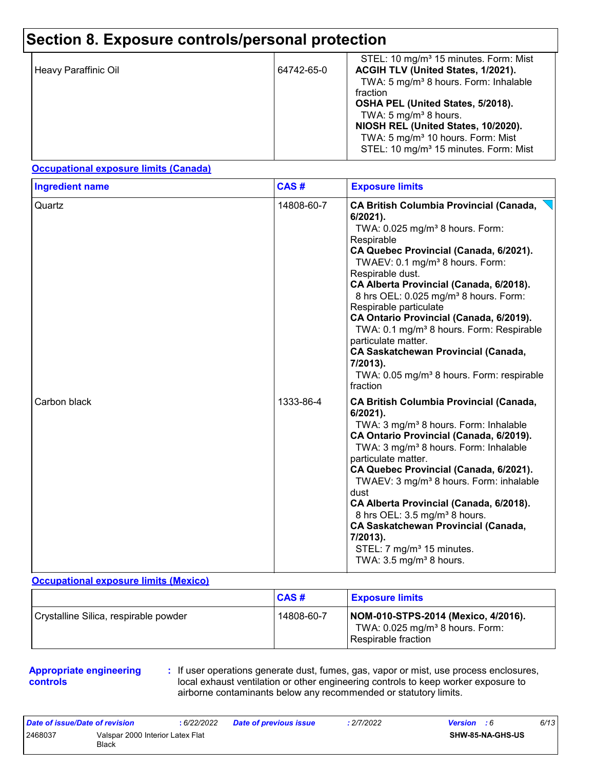### **Section 8. Exposure controls/personal protection**

| 64742-65-0<br>Heavy Paraffinic Oil | STEL: 10 mg/m <sup>3</sup> 15 minutes. Form: Mist<br>ACGIH TLV (United States, 1/2021).<br>TWA: 5 mg/m <sup>3</sup> 8 hours. Form: Inhalable<br>fraction<br>OSHA PEL (United States, 5/2018).<br>TWA: 5 mg/m <sup>3</sup> 8 hours.<br>NIOSH REL (United States, 10/2020).<br>TWA: 5 mg/m <sup>3</sup> 10 hours. Form: Mist<br>STEL: 10 mg/m <sup>3</sup> 15 minutes. Form: Mist |
|------------------------------------|---------------------------------------------------------------------------------------------------------------------------------------------------------------------------------------------------------------------------------------------------------------------------------------------------------------------------------------------------------------------------------|
|------------------------------------|---------------------------------------------------------------------------------------------------------------------------------------------------------------------------------------------------------------------------------------------------------------------------------------------------------------------------------------------------------------------------------|

#### **Occupational exposure limits (Canada)**

| <b>Ingredient name</b> | CAS#       | <b>Exposure limits</b>                                                                                                                                                                                                                                                                                                                                                                                                                                                                                                                                                                                                     |
|------------------------|------------|----------------------------------------------------------------------------------------------------------------------------------------------------------------------------------------------------------------------------------------------------------------------------------------------------------------------------------------------------------------------------------------------------------------------------------------------------------------------------------------------------------------------------------------------------------------------------------------------------------------------------|
| Quartz                 | 14808-60-7 | <b>CA British Columbia Provincial (Canada,</b><br>$6/2021$ ).<br>TWA: 0.025 mg/m <sup>3</sup> 8 hours. Form:<br>Respirable<br>CA Quebec Provincial (Canada, 6/2021).<br>TWAEV: 0.1 mg/m <sup>3</sup> 8 hours. Form:<br>Respirable dust.<br>CA Alberta Provincial (Canada, 6/2018).<br>8 hrs OEL: 0.025 mg/m <sup>3</sup> 8 hours. Form:<br>Respirable particulate<br>CA Ontario Provincial (Canada, 6/2019).<br>TWA: 0.1 mg/m <sup>3</sup> 8 hours. Form: Respirable<br>particulate matter.<br><b>CA Saskatchewan Provincial (Canada,</b><br>7/2013).<br>TWA: 0.05 mg/m <sup>3</sup> 8 hours. Form: respirable<br>fraction |
| Carbon black           | 1333-86-4  | <b>CA British Columbia Provincial (Canada,</b><br>6/2021).<br>TWA: 3 mg/m <sup>3</sup> 8 hours. Form: Inhalable<br>CA Ontario Provincial (Canada, 6/2019).<br>TWA: 3 mg/m <sup>3</sup> 8 hours. Form: Inhalable<br>particulate matter.<br>CA Quebec Provincial (Canada, 6/2021).<br>TWAEV: 3 mg/m <sup>3</sup> 8 hours. Form: inhalable<br>dust<br>CA Alberta Provincial (Canada, 6/2018).<br>8 hrs OEL: 3.5 mg/m <sup>3</sup> 8 hours.<br><b>CA Saskatchewan Provincial (Canada,</b><br>7/2013).<br>STEL: 7 mg/m <sup>3</sup> 15 minutes.<br>TWA: $3.5 \text{ mg/m}^3$ 8 hours.                                           |

#### **Occupational exposure limits (Mexico)**

|                                       | CAS#       | <b>Exposure limits</b>                                                                                    |
|---------------------------------------|------------|-----------------------------------------------------------------------------------------------------------|
| Crystalline Silica, respirable powder | 14808-60-7 | NOM-010-STPS-2014 (Mexico, 4/2016).<br>TWA: 0.025 mg/m <sup>3</sup> 8 hours. Form:<br>Respirable fraction |

#### **Appropriate engineering controls**

**:** If user operations generate dust, fumes, gas, vapor or mist, use process enclosures, local exhaust ventilation or other engineering controls to keep worker exposure to airborne contaminants below any recommended or statutory limits.

| Date of issue/Date of revision |                                           | : 6/22/2022 | <b>Date of previous issue</b> | : 2/7/2022 | <b>Version</b> : 6 |                         | 6/13 |
|--------------------------------|-------------------------------------------|-------------|-------------------------------|------------|--------------------|-------------------------|------|
| 2468037                        | Valspar 2000 Interior Latex Flat<br>Black |             |                               |            |                    | <b>SHW-85-NA-GHS-US</b> |      |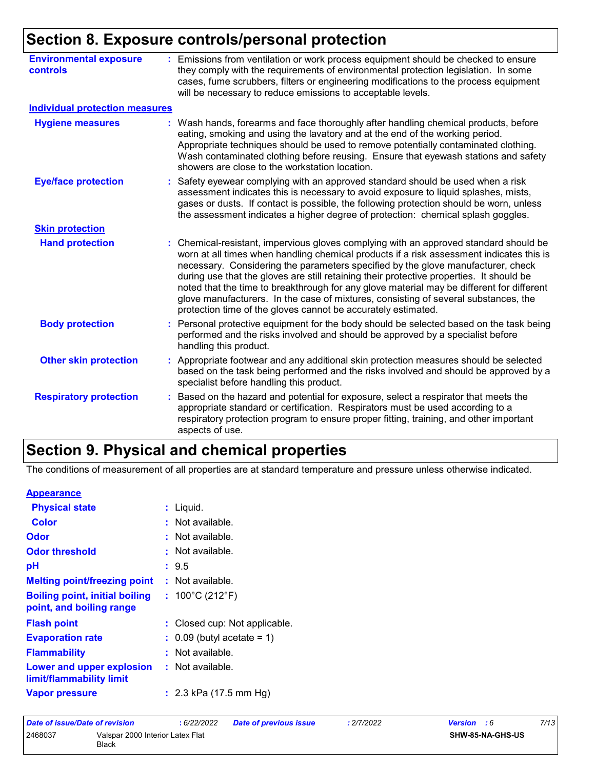### **Section 8. Exposure controls/personal protection**

| <b>Environmental exposure</b><br><b>controls</b> | Emissions from ventilation or work process equipment should be checked to ensure<br>they comply with the requirements of environmental protection legislation. In some<br>cases, fume scrubbers, filters or engineering modifications to the process equipment<br>will be necessary to reduce emissions to acceptable levels.                                                                                                                                                                                                                                                                                          |
|--------------------------------------------------|------------------------------------------------------------------------------------------------------------------------------------------------------------------------------------------------------------------------------------------------------------------------------------------------------------------------------------------------------------------------------------------------------------------------------------------------------------------------------------------------------------------------------------------------------------------------------------------------------------------------|
| <b>Individual protection measures</b>            |                                                                                                                                                                                                                                                                                                                                                                                                                                                                                                                                                                                                                        |
| <b>Hygiene measures</b>                          | Wash hands, forearms and face thoroughly after handling chemical products, before<br>eating, smoking and using the lavatory and at the end of the working period.<br>Appropriate techniques should be used to remove potentially contaminated clothing.<br>Wash contaminated clothing before reusing. Ensure that eyewash stations and safety<br>showers are close to the workstation location.                                                                                                                                                                                                                        |
| <b>Eye/face protection</b>                       | Safety eyewear complying with an approved standard should be used when a risk<br>assessment indicates this is necessary to avoid exposure to liquid splashes, mists,<br>gases or dusts. If contact is possible, the following protection should be worn, unless<br>the assessment indicates a higher degree of protection: chemical splash goggles.                                                                                                                                                                                                                                                                    |
| <b>Skin protection</b>                           |                                                                                                                                                                                                                                                                                                                                                                                                                                                                                                                                                                                                                        |
| <b>Hand protection</b>                           | : Chemical-resistant, impervious gloves complying with an approved standard should be<br>worn at all times when handling chemical products if a risk assessment indicates this is<br>necessary. Considering the parameters specified by the glove manufacturer, check<br>during use that the gloves are still retaining their protective properties. It should be<br>noted that the time to breakthrough for any glove material may be different for different<br>glove manufacturers. In the case of mixtures, consisting of several substances, the<br>protection time of the gloves cannot be accurately estimated. |
| <b>Body protection</b>                           | Personal protective equipment for the body should be selected based on the task being<br>performed and the risks involved and should be approved by a specialist before<br>handling this product.                                                                                                                                                                                                                                                                                                                                                                                                                      |
| <b>Other skin protection</b>                     | Appropriate footwear and any additional skin protection measures should be selected<br>based on the task being performed and the risks involved and should be approved by a<br>specialist before handling this product.                                                                                                                                                                                                                                                                                                                                                                                                |
| <b>Respiratory protection</b>                    | Based on the hazard and potential for exposure, select a respirator that meets the<br>appropriate standard or certification. Respirators must be used according to a<br>respiratory protection program to ensure proper fitting, training, and other important<br>aspects of use.                                                                                                                                                                                                                                                                                                                                      |

### **Section 9. Physical and chemical properties**

The conditions of measurement of all properties are at standard temperature and pressure unless otherwise indicated.

#### **Appearance**

| <b>Physical state</b>                                             | $:$ Liquid.                           |
|-------------------------------------------------------------------|---------------------------------------|
| Color                                                             | : Not available.                      |
| <b>Odor</b>                                                       | : Not available.                      |
| <b>Odor threshold</b>                                             | : Not available.                      |
| рH                                                                | : 9.5                                 |
| <b>Melting point/freezing point</b>                               | $:$ Not available.                    |
| <b>Boiling point, initial boiling</b><br>point, and boiling range | : $100^{\circ}$ C (212 $^{\circ}$ F)  |
| <b>Flash point</b>                                                | : Closed cup: Not applicable.         |
| <b>Evaporation rate</b>                                           | $\therefore$ 0.09 (butyl acetate = 1) |
| <b>Flammability</b>                                               | : Not available.                      |
| Lower and upper explosion<br>limit/flammability limit             | $:$ Not available.                    |
| <b>Vapor pressure</b>                                             | : $2.3$ kPa (17.5 mm Hg)              |

| Date of issue/Date of revision |                                                  | : 6/22/2022 | Date of previous issue | : 2/7/2022 | <b>Version</b> : 6      | 7/13 |
|--------------------------------|--------------------------------------------------|-------------|------------------------|------------|-------------------------|------|
| 2468037                        | Valspar 2000 Interior Latex Flat<br><b>Black</b> |             |                        |            | <b>SHW-85-NA-GHS-US</b> |      |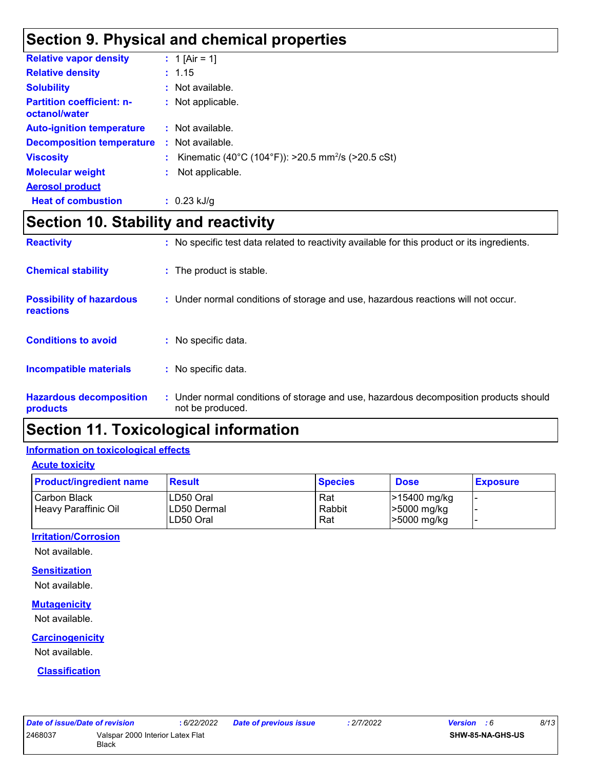### **Section 9. Physical and chemical properties**

| <b>Relative vapor density</b>                     |    | : 1 [Air = 1]                                                    |
|---------------------------------------------------|----|------------------------------------------------------------------|
| <b>Relative density</b>                           |    | : 1.15                                                           |
| <b>Solubility</b>                                 |    | : Not available.                                                 |
| <b>Partition coefficient: n-</b><br>octanol/water | ÷. | Not applicable.                                                  |
| <b>Auto-ignition temperature</b>                  |    | : Not available.                                                 |
| <b>Decomposition temperature</b>                  | ÷. | Not available.                                                   |
| <b>Viscosity</b>                                  |    | : Kinematic (40°C (104°F)): >20.5 mm <sup>2</sup> /s (>20.5 cSt) |
| <b>Molecular weight</b>                           | ÷  | Not applicable.                                                  |
| <b>Aerosol product</b>                            |    |                                                                  |
| <b>Heat of combustion</b>                         |    | $: 0.23$ kJ/g                                                    |

### **Section 10. Stability and reactivity**

| <b>Reactivity</b>                            |    | : No specific test data related to reactivity available for this product or its ingredients.              |
|----------------------------------------------|----|-----------------------------------------------------------------------------------------------------------|
| <b>Chemical stability</b>                    |    | : The product is stable.                                                                                  |
| <b>Possibility of hazardous</b><br>reactions |    | : Under normal conditions of storage and use, hazardous reactions will not occur.                         |
| <b>Conditions to avoid</b>                   |    | : No specific data.                                                                                       |
| <b>Incompatible materials</b>                | ÷. | No specific data.                                                                                         |
| <b>Hazardous decomposition</b><br>products   |    | : Under normal conditions of storage and use, hazardous decomposition products should<br>not be produced. |

### **Section 11. Toxicological information**

### **Information on toxicological effects**

**Acute toxicity**

| <b>Product/ingredient name</b>       | <b>Result</b>                          | <b>Species</b>       | <b>Dose</b>                                | <b>Exposure</b> |
|--------------------------------------|----------------------------------------|----------------------|--------------------------------------------|-----------------|
| Carbon Black<br>Heavy Paraffinic Oil | ILD50 Oral<br>LD50 Dermal<br>LD50 Oral | Rat<br>Rabbit<br>Rat | >15400 mg/kg<br>>5000 mg/kg<br>>5000 mg/kg | -<br>-          |

#### **Irritation/Corrosion**

Not available.

### **Sensitization**

Not available.

#### **Mutagenicity**

Not available.

#### **Carcinogenicity**

Not available.

#### **Classification**

| <b>Date of issue/Date of revision</b> |                                  | 6/22/2022 | <b>Date of previous issue</b> | 2/7/2022 | <b>Version</b> : 6      | 8/13 |
|---------------------------------------|----------------------------------|-----------|-------------------------------|----------|-------------------------|------|
| 2468037                               | Valspar 2000 Interior Latex Flat |           |                               |          | <b>SHW-85-NA-GHS-US</b> |      |
|                                       | <b>Black</b>                     |           |                               |          |                         |      |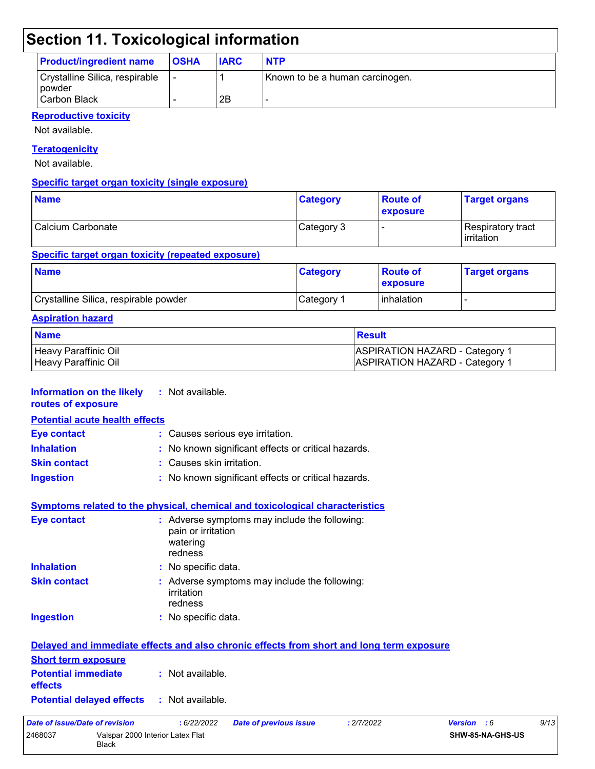### **Section 11. Toxicological information**

| <b>Product/ingredient name</b>                           | <b>OSHA</b> | <b>IARC</b> | <b>NTP</b>                      |
|----------------------------------------------------------|-------------|-------------|---------------------------------|
| Crystalline Silica, respirable<br>powder<br>Carbon Black | ı –         | 2Β          | Known to be a human carcinogen. |

#### **Reproductive toxicity**

Not available.

### **Teratogenicity**

Not available.

#### **Specific target organ toxicity (single exposure)**

| <b>Name</b>       | <b>Category</b> | <b>Route of</b><br><b>exposure</b> | <b>Target organs</b>               |
|-------------------|-----------------|------------------------------------|------------------------------------|
| Calcium Carbonate | Category 3      |                                    | Respiratory tract_<br>l irritation |

#### **Specific target organ toxicity (repeated exposure)**

| <b>Name</b>                           | <b>Category</b>       | <b>Route of</b><br><b>Exposure</b> | <b>Target organs</b> |
|---------------------------------------|-----------------------|------------------------------------|----------------------|
| Crystalline Silica, respirable powder | Category <sup>2</sup> | <b>l</b> inhalation                |                      |

#### **Aspiration hazard**

| <b>Name</b>          | Result                                |
|----------------------|---------------------------------------|
| Heavy Paraffinic Oil | <b>ASPIRATION HAZARD - Category 1</b> |
| Heavy Paraffinic Oil | <b>ASPIRATION HAZARD - Category 1</b> |

#### **Information on the likely :** Not available. **routes of exposure**

### **Potential acute health effects**

| Potential acute health effects |                                                     |
|--------------------------------|-----------------------------------------------------|
| <b>Eye contact</b>             | : Causes serious eye irritation.                    |
| <b>Inhalation</b>              | : No known significant effects or critical hazards. |
| Skin contact                   | : Causes skin irritation.                           |
| Ingestion                      | : No known significant effects or critical hazards. |
|                                |                                                     |

#### **Symptoms related to the physical, chemical and toxicological characteristics**

| <b>Eye contact</b>  | : Adverse symptoms may include the following:<br>pain or irritation<br>watering<br>redness |
|---------------------|--------------------------------------------------------------------------------------------|
| <b>Inhalation</b>   | : No specific data.                                                                        |
| <b>Skin contact</b> | : Adverse symptoms may include the following:<br>irritation<br>redness                     |
| <b>Ingestion</b>    | : No specific data.                                                                        |

|                                                   | Delayed and immediate effects and also chronic effects from short and long term exposure |
|---------------------------------------------------|------------------------------------------------------------------------------------------|
| <b>Short term exposure</b>                        |                                                                                          |
| <b>Potential immediate</b><br><b>effects</b>      | : Not available.                                                                         |
| <b>Potential delayed effects : Not available.</b> |                                                                                          |

| Date of issue/Date of revision |                                                  | : 6/22/2022 | <b>Date of previous issue</b> | : 2/7/2022 | <b>Version</b> : 6      | 9/13 |
|--------------------------------|--------------------------------------------------|-------------|-------------------------------|------------|-------------------------|------|
| 2468037                        | Valspar 2000 Interior Latex Flat<br><b>Black</b> |             |                               |            | <b>SHW-85-NA-GHS-US</b> |      |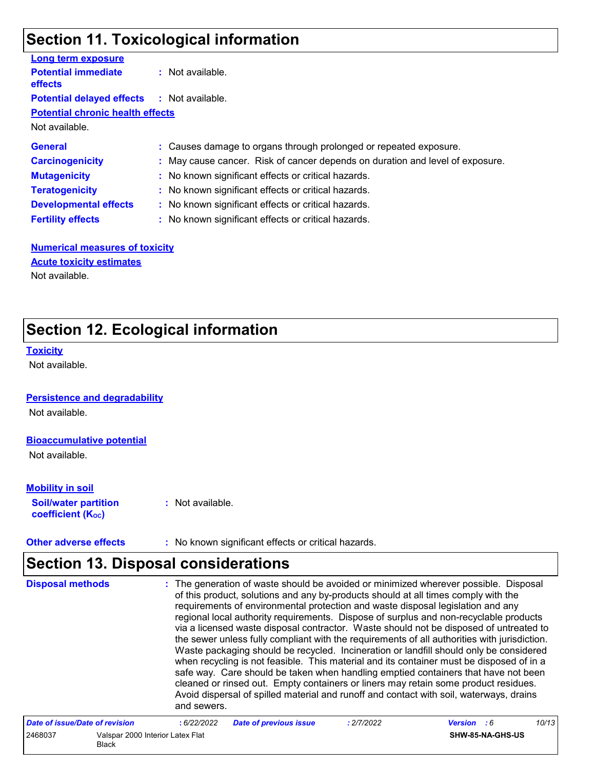### **Section 11. Toxicological information**

| <b>Long term exposure</b>                         |                                                                               |
|---------------------------------------------------|-------------------------------------------------------------------------------|
| <b>Potential immediate</b><br><b>effects</b>      | : Not available.                                                              |
| <b>Potential delayed effects : Not available.</b> |                                                                               |
| <b>Potential chronic health effects</b>           |                                                                               |
| Not available.                                    |                                                                               |
| <b>General</b>                                    | : Causes damage to organs through prolonged or repeated exposure.             |
| <b>Carcinogenicity</b>                            | : May cause cancer. Risk of cancer depends on duration and level of exposure. |
| <b>Mutagenicity</b>                               | : No known significant effects or critical hazards.                           |
| <b>Teratogenicity</b>                             | : No known significant effects or critical hazards.                           |
| <b>Developmental effects</b>                      | : No known significant effects or critical hazards.                           |
| <b>Fertility effects</b>                          | : No known significant effects or critical hazards.                           |
|                                                   |                                                                               |

#### **Numerical measures of toxicity** Not available. **Acute toxicity estimates**

### **Section 12. Ecological information**

#### **Toxicity**

Not available.

#### **Persistence and degradability**

Not available.

#### **Bioaccumulative potential**

Not available.

### **Mobility in soil**

**Soil/water partition coefficient (KOC)**

**:** Not available.

### **Other adverse effects** : No known significant effects or critical hazards.

### **Section 13. Disposal considerations**

| <b>Disposal methods</b>        | : The generation of waste should be avoided or minimized wherever possible. Disposal<br>of this product, solutions and any by-products should at all times comply with the<br>requirements of environmental protection and waste disposal legislation and any<br>regional local authority requirements. Dispose of surplus and non-recyclable products<br>via a licensed waste disposal contractor. Waste should not be disposed of untreated to<br>the sewer unless fully compliant with the requirements of all authorities with jurisdiction.<br>Waste packaging should be recycled. Incineration or landfill should only be considered<br>when recycling is not feasible. This material and its container must be disposed of in a<br>safe way. Care should be taken when handling emptied containers that have not been<br>cleaned or rinsed out. Empty containers or liners may retain some product residues.<br>Avoid dispersal of spilled material and runoff and contact with soil, waterways, drains<br>and sewers. |
|--------------------------------|-------------------------------------------------------------------------------------------------------------------------------------------------------------------------------------------------------------------------------------------------------------------------------------------------------------------------------------------------------------------------------------------------------------------------------------------------------------------------------------------------------------------------------------------------------------------------------------------------------------------------------------------------------------------------------------------------------------------------------------------------------------------------------------------------------------------------------------------------------------------------------------------------------------------------------------------------------------------------------------------------------------------------------|
| Data of inqualData of revision | 10/12<br>$.$ $6/22/2022$<br>.2770022<br>$Uarain - E$<br>Dota of province incur                                                                                                                                                                                                                                                                                                                                                                                                                                                                                                                                                                                                                                                                                                                                                                                                                                                                                                                                                |

| Date of issue/Date of revision |                                           | : 6/22/2022 | <b>Date of previous issue</b> | : 2/7/2022 | <b>Version</b> : 6 |                  | 10/13 |
|--------------------------------|-------------------------------------------|-------------|-------------------------------|------------|--------------------|------------------|-------|
| 2468037                        | Valspar 2000 Interior Latex Flat<br>Black |             |                               |            |                    | SHW-85-NA-GHS-US |       |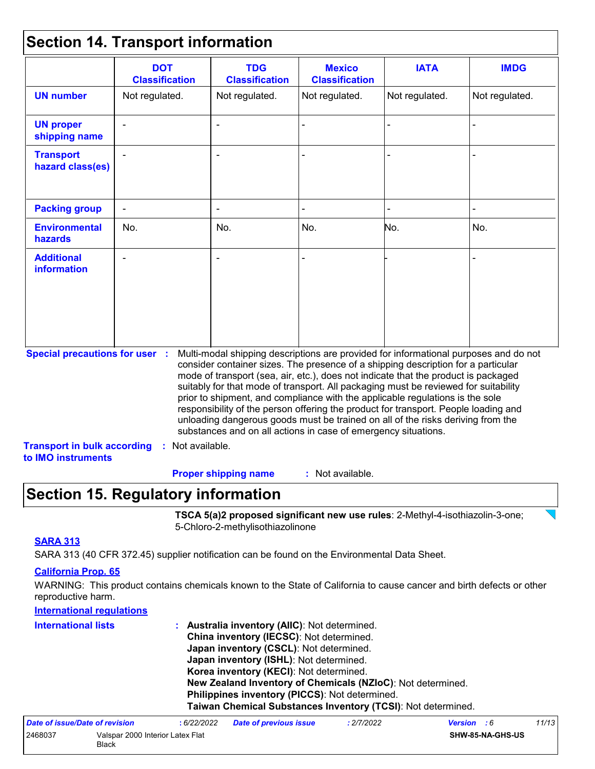### **Section 14. Transport information**

|                                                                                                   | <b>DOT</b><br><b>Classification</b> | <b>TDG</b><br><b>Classification</b>                            | <b>Mexico</b><br><b>Classification</b> | <b>IATA</b>                                                                                                                                                                                                                                                                                                                                                                                                                                                                                                                                                                                                       | <b>IMDG</b>    |
|---------------------------------------------------------------------------------------------------|-------------------------------------|----------------------------------------------------------------|----------------------------------------|-------------------------------------------------------------------------------------------------------------------------------------------------------------------------------------------------------------------------------------------------------------------------------------------------------------------------------------------------------------------------------------------------------------------------------------------------------------------------------------------------------------------------------------------------------------------------------------------------------------------|----------------|
| <b>UN number</b>                                                                                  | Not regulated.                      | Not regulated.                                                 | Not regulated.                         | Not regulated.                                                                                                                                                                                                                                                                                                                                                                                                                                                                                                                                                                                                    | Not regulated. |
| <b>UN proper</b><br>shipping name                                                                 |                                     |                                                                |                                        |                                                                                                                                                                                                                                                                                                                                                                                                                                                                                                                                                                                                                   |                |
| <b>Transport</b><br>hazard class(es)                                                              |                                     |                                                                |                                        |                                                                                                                                                                                                                                                                                                                                                                                                                                                                                                                                                                                                                   |                |
| <b>Packing group</b>                                                                              |                                     |                                                                |                                        |                                                                                                                                                                                                                                                                                                                                                                                                                                                                                                                                                                                                                   |                |
| <b>Environmental</b><br>hazards                                                                   | No.                                 | No.                                                            | No.                                    | No.                                                                                                                                                                                                                                                                                                                                                                                                                                                                                                                                                                                                               | No.            |
| <b>Additional</b><br><b>information</b>                                                           |                                     |                                                                |                                        |                                                                                                                                                                                                                                                                                                                                                                                                                                                                                                                                                                                                                   |                |
| <b>Special precautions for user :</b><br><b>Transport in bulk according</b><br>to IMO instruments | : Not available.                    | substances and on all actions in case of emergency situations. |                                        | Multi-modal shipping descriptions are provided for informational purposes and do not<br>consider container sizes. The presence of a shipping description for a particular<br>mode of transport (sea, air, etc.), does not indicate that the product is packaged<br>suitably for that mode of transport. All packaging must be reviewed for suitability<br>prior to shipment, and compliance with the applicable regulations is the sole<br>responsibility of the person offering the product for transport. People loading and<br>unloading dangerous goods must be trained on all of the risks deriving from the |                |

### **Section 15. Regulatory information**

**TSCA 5(a)2 proposed significant new use rules**: 2-Methyl-4-isothiazolin-3-one; 5-Chloro-2-methylisothiazolinone

#### **SARA 313**

SARA 313 (40 CFR 372.45) supplier notification can be found on the Environmental Data Sheet.

#### **California Prop. 65**

WARNING: This product contains chemicals known to the State of California to cause cancer and birth defects or other reproductive harm.

| <b>International regulations</b> |                                                              |
|----------------------------------|--------------------------------------------------------------|
| <b>International lists</b>       | Australia inventory (AIIC): Not determined.                  |
|                                  | China inventory (IECSC): Not determined.                     |
|                                  | Japan inventory (CSCL): Not determined.                      |
|                                  | Japan inventory (ISHL): Not determined.                      |
|                                  | Korea inventory (KECI): Not determined.                      |
|                                  | New Zealand Inventory of Chemicals (NZIoC): Not determined.  |
|                                  | Philippines inventory (PICCS): Not determined.               |
|                                  | Taiwan Chemical Substances Inventory (TCSI): Not determined. |
|                                  |                                                              |

| Date of issue/Date of revision |                                           | : 6/22/2022 | <b>Date of previous issue</b> | : 2/7/2022 | <b>Version</b> : 6 |                         | 11/13 |
|--------------------------------|-------------------------------------------|-------------|-------------------------------|------------|--------------------|-------------------------|-------|
| 2468037                        | Valspar 2000 Interior Latex Flat<br>Black |             |                               |            |                    | <b>SHW-85-NA-GHS-US</b> |       |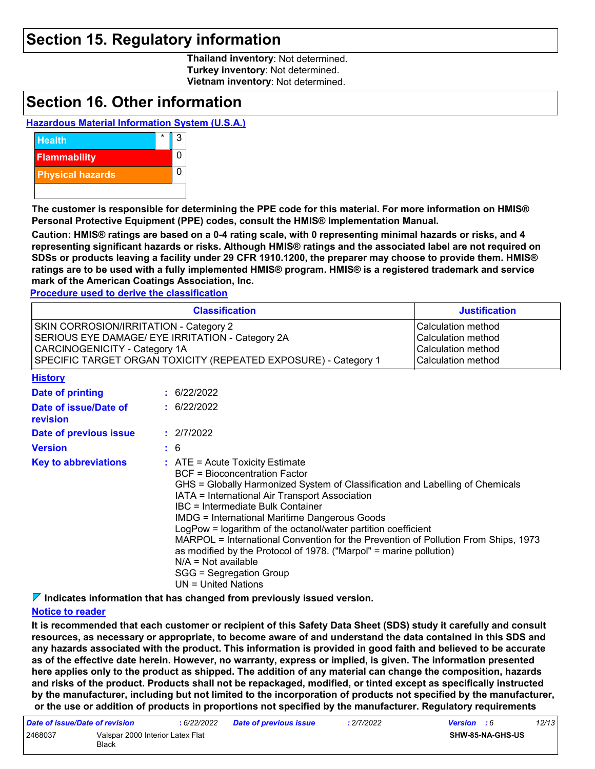### **Section 15. Regulatory information**

**Thailand inventory**: Not determined. **Turkey inventory**: Not determined. **Vietnam inventory**: Not determined.

### **Section 16. Other information**

### **Hazardous Material Information System (U.S.A.)**



**The customer is responsible for determining the PPE code for this material. For more information on HMIS® Personal Protective Equipment (PPE) codes, consult the HMIS® Implementation Manual.**

**Caution: HMIS® ratings are based on a 0-4 rating scale, with 0 representing minimal hazards or risks, and 4 representing significant hazards or risks. Although HMIS® ratings and the associated label are not required on SDSs or products leaving a facility under 29 CFR 1910.1200, the preparer may choose to provide them. HMIS® ratings are to be used with a fully implemented HMIS® program. HMIS® is a registered trademark and service mark of the American Coatings Association, Inc.**

**Procedure used to derive the classification**

|                                                                                                                                                                                                                                                                                                      |  | <b>Classification</b>                                                                                                                                                                                                                                                                                                                                                                                                                                                                                                                                                                                                      | <b>Justification</b> |  |  |
|------------------------------------------------------------------------------------------------------------------------------------------------------------------------------------------------------------------------------------------------------------------------------------------------------|--|----------------------------------------------------------------------------------------------------------------------------------------------------------------------------------------------------------------------------------------------------------------------------------------------------------------------------------------------------------------------------------------------------------------------------------------------------------------------------------------------------------------------------------------------------------------------------------------------------------------------------|----------------------|--|--|
| Calculation method<br>SKIN CORROSION/IRRITATION - Category 2<br>SERIOUS EYE DAMAGE/ EYE IRRITATION - Category 2A<br><b>Calculation method</b><br>CARCINOGENICITY - Category 1A<br><b>Calculation method</b><br>SPECIFIC TARGET ORGAN TOXICITY (REPEATED EXPOSURE) - Category 1<br>Calculation method |  |                                                                                                                                                                                                                                                                                                                                                                                                                                                                                                                                                                                                                            |                      |  |  |
| <b>History</b>                                                                                                                                                                                                                                                                                       |  |                                                                                                                                                                                                                                                                                                                                                                                                                                                                                                                                                                                                                            |                      |  |  |
| Date of printing                                                                                                                                                                                                                                                                                     |  | : 6/22/2022                                                                                                                                                                                                                                                                                                                                                                                                                                                                                                                                                                                                                |                      |  |  |
| Date of issue/Date of<br>revision                                                                                                                                                                                                                                                                    |  | : 6/22/2022                                                                                                                                                                                                                                                                                                                                                                                                                                                                                                                                                                                                                |                      |  |  |
| Date of previous issue                                                                                                                                                                                                                                                                               |  | : 2/7/2022                                                                                                                                                                                                                                                                                                                                                                                                                                                                                                                                                                                                                 |                      |  |  |
| <b>Version</b>                                                                                                                                                                                                                                                                                       |  | : 6                                                                                                                                                                                                                                                                                                                                                                                                                                                                                                                                                                                                                        |                      |  |  |
| <b>Key to abbreviations</b>                                                                                                                                                                                                                                                                          |  | $:$ ATE = Acute Toxicity Estimate<br><b>BCF</b> = Bioconcentration Factor<br>GHS = Globally Harmonized System of Classification and Labelling of Chemicals<br>IATA = International Air Transport Association<br><b>IBC</b> = Intermediate Bulk Container<br><b>IMDG = International Maritime Dangerous Goods</b><br>LogPow = logarithm of the octanol/water partition coefficient<br>MARPOL = International Convention for the Prevention of Pollution From Ships, 1973<br>as modified by the Protocol of 1978. ("Marpol" = marine pollution)<br>$N/A = Not available$<br>SGG = Segregation Group<br>$UN = United Nations$ |                      |  |  |

**Indicates information that has changed from previously issued version.**

#### **Notice to reader**

**It is recommended that each customer or recipient of this Safety Data Sheet (SDS) study it carefully and consult resources, as necessary or appropriate, to become aware of and understand the data contained in this SDS and any hazards associated with the product. This information is provided in good faith and believed to be accurate as of the effective date herein. However, no warranty, express or implied, is given. The information presented here applies only to the product as shipped. The addition of any material can change the composition, hazards and risks of the product. Products shall not be repackaged, modified, or tinted except as specifically instructed by the manufacturer, including but not limited to the incorporation of products not specified by the manufacturer, or the use or addition of products in proportions not specified by the manufacturer. Regulatory requirements** 

| Date of issue/Date of revision |                                  | : 6/22/2022 | <b>Date of previous issue</b> | : 2/7/2022 | <b>Version</b> : 6      | 12/13 |
|--------------------------------|----------------------------------|-------------|-------------------------------|------------|-------------------------|-------|
| 2468037                        | Valspar 2000 Interior Latex Flat |             |                               |            | <b>SHW-85-NA-GHS-US</b> |       |
|                                | Black                            |             |                               |            |                         |       |